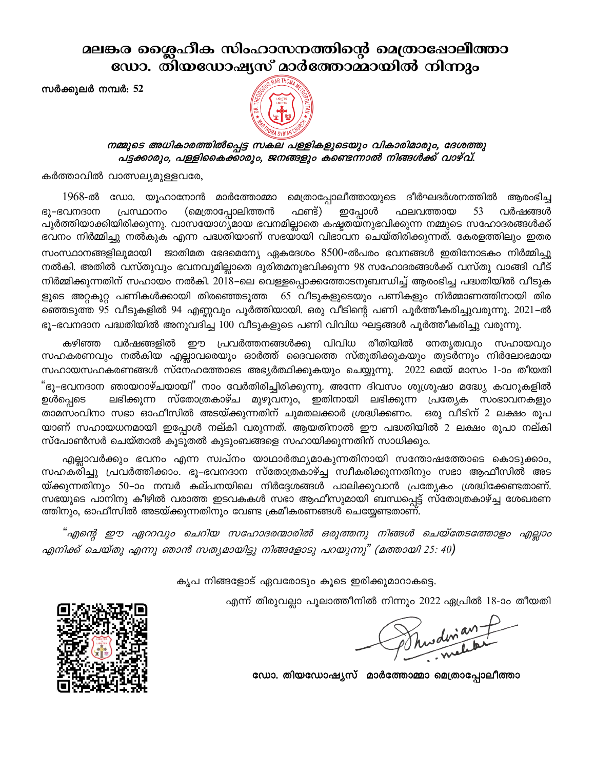മലങ്കര ശൈഹീക സിംഹാസനത്തിന്റെ മെത്രാഷോലീത്താ ഡോ. തിയഡോഷ്യസ് മാർത്തോമ്മായിൽ നിന്നും

സർക്കുലർ നമ്പർ: 52



## നമ്മുടെ അധികാരത്തിൽപ്പെട്ട സകല പള്ളികളുടെയും വികാരിമാരും, ദേശത്തു പട്ടക്കാരും, പള്ളികൈക്കാരും, ജനങ്ങളും കണ്ടെന്നാൽ നിങ്ങൾക്ക് വാഴ്വ്.

കർത്താവിൽ വാത്സല്യമുള്ളവരേ,

1968-ൽ ഡോ. യൂഹാനോൻ മാർത്തോമ്മാ മെത്രാപ്പോലീത്തായുടെ ദീർഘദർശനത്തിൽ ആരംഭിച്ച ഭൂ–ഭവനദാന പ്രസ്ഥാനം (മെത്രാപ്പോലിത്തൻ ഫണ്ട്) ഇപ്പോൾ ഫലവത്തായ 53 വർഷങ്ങൾ പൂർത്തിയാക്കിയിരിക്കുന്നു. വാസയോഗ്യമായ ഭവനമില്ലാതെ കഷ്ടതയ്നുഭവിക്കുന്ന നമ്മുടെ സഹോദരങ്ങൾക്ക് ഭവനം നിർമ്മിച്ചു നൽകുക എന്ന പദ്ധതിയാണ് സഭയായി വിഭാവന ചെയ്തിരിക്കുന്നത്. കേരളത്തിലും ഇതര സംസ്ഥാനങ്ങളിലുമായി ജാതിമത ഭേദമെന്യേ ഏകദേശം 8500-ൽപരം ഭവനങ്ങൾ ഇതിനോടകം നിർമ്മിച്ചു നൽകി. അതിൽ വസ്തുവും ഭവനവുമില്ലാതെ ദുരിതമനുഭവിക്കുന്ന 98 സഹോദരങ്ങൾക്ക് വസ്തു വാങ്ങി വീട് നിർമ്മിക്കുന്നതിന് സഹായം നൽകി. 2018–ലെ വെള്ളപ്പൊക്കത്തോടനുബന്ധിച്ച് ആരംഭിച്ച പദ്ധതിയിൽ വീടുക ളുടെ അറ്റകുറ്റ പണികൾക്കായി തിരഞ്ഞെടുത്ത 65 വീടുകളുടെയും പണികളും നിർമ്മാണത്തിനായി തിര ഞ്ഞെടുത്ത 95 വീടുകളിൽ 94 എണ്ണവും പൂർത്തിയായി. ഒരു വീടിന്റെ പണി പൂർത്തീകരിച്ചുവരുന്നു. 2021–ൽ ഭൂ–ഭവനദാന പദ്ധതിയിൽ അനുവദിച്ച 100 വീടുകളുടെ പണി വിവിധ ഘട്ടങ്ങൾ പൂർത്തീകരിച്ചു വരുന്നു.

കഴിഞ്ഞ വർഷങ്ങളിൽ ഈ പ്രവർത്തനങ്ങൾക്കു വിവിധ രീതിയിൽ നേതൃത്വവും സഹായവും സഹകരണവും നൽകിയ എല്ലാവരെയും ഓർത്ത് ദൈവത്തെ സ്തുതിക്കുകയും തുടർന്നും നിർലോഭമായ സഹായസഹകരണങ്ങൾ സ്നേഹത്തോടെ അഭ്യർത്ഥിക്കുകയും ചെയ്യുന്നു.  $2022$  മെയ് മാസം 1-ാം തീയതി "ഭൂ–ഭവനദാന ഞായറാഴ്ചയായി<sup>"</sup> നാം വേർതിരിച്ചിരിക്കുന്നു. അന്നേ ദിവസം ശുശ്രൂഷാ മദ്ധ്യേ കവറുകളിൽ ലഭിക്കുന്ന സ്തോത്രകാഴ്ച മുഴുവനും, ഇതിനായി ലഭിക്കുന്ന പ്രത്യേക സംഭാവനകളും ഉൾപ്പെടെ താമസംവിനാ സഭാ ഓഫീസിൽ അടയ്ക്കുന്നതിന് ചുമതലക്കാർ ശ്രദ്ധിക്കണം. ഒരു വീടിന് 2 ലക്ഷം രൂപ യാണ് സഹായധനമായി ഇപ്പോൾ നല്കി വരുന്നത്. ആയതിനാൽ ഈ പദ്ധതിയിൽ 2 ലക്ഷം രൂപാ നല്കി സ്പോൺസർ ചെയ്താൽ കൂടുതൽ കുടുംബങ്ങളെ സഹായിക്കുന്നതിന് സാധിക്കും.

എല്ലാവർക്കും ഭവനം എന്ന സ്വപ്നം യാഥാർത്ഥ്യമാകുന്നതിനായി സന്തോഷത്തോടെ കൊടുക്കാം, സഹകരിച്ചു പ്രവർത്തിക്കാം. ഭൂ–ഭവനദാന സ്തോത്രകാഴ്ച്ച സ്വീകരിക്കുന്നതിനും സഭാ ആഫീസിൽ അട യ്ക്കുന്നതിനും 50–ാം നമ്പർ കല്പനയിലെ നിർദ്ദേശങ്ങൾ പാലിക്കുവാൻ പ്രത്യേകം ശ്രദ്ധിക്കേണ്ടതാണ്. സഭയുടെ പാനിനു കീഴിൽ വരാത്ത ഇടവകകൾ സഭാ ആഫീസുമായി ബന്ധപ്പെട്ട് സ്തോത്രകാഴ്ച്ച ശേഖരണ ത്തിനും, ഓഫീസിൽ അടയ്ക്കുന്നതിനും വേണ്ട ക്രമീകരണങ്ങൾ ചെയ്യേണ്ടതാണ്.

"എന്റെ ഈ ഏററവും ചെറിയ സഹോദരന്മാരിൽ ഒരുത്തനു നിങ്ങൾ ചെയ്തേടത്തോളം എല്ലാം എനിക്ക് ചെയ്തു എന്നു ഞാൻ സത്യമായിട്ടു നിങ്ങളോടു പറയുന്നു" (മത്തായി 25: 40)

കൃപ നിങ്ങളോട് ഏവരോടും കൂടെ ഇരിക്കുമാറാകട്ടെ.

എന്ന് തിരുവല്ലാ പൂലാത്തീനിൽ നിന്നും 2022 ഏപ്രിൽ 18-ാം തീയതി

Phusdinian P

ഡോ. തിയഡോഷ്യസ് മാർത്തോമ്മാ മെത്രാപ്പോലീത്താ